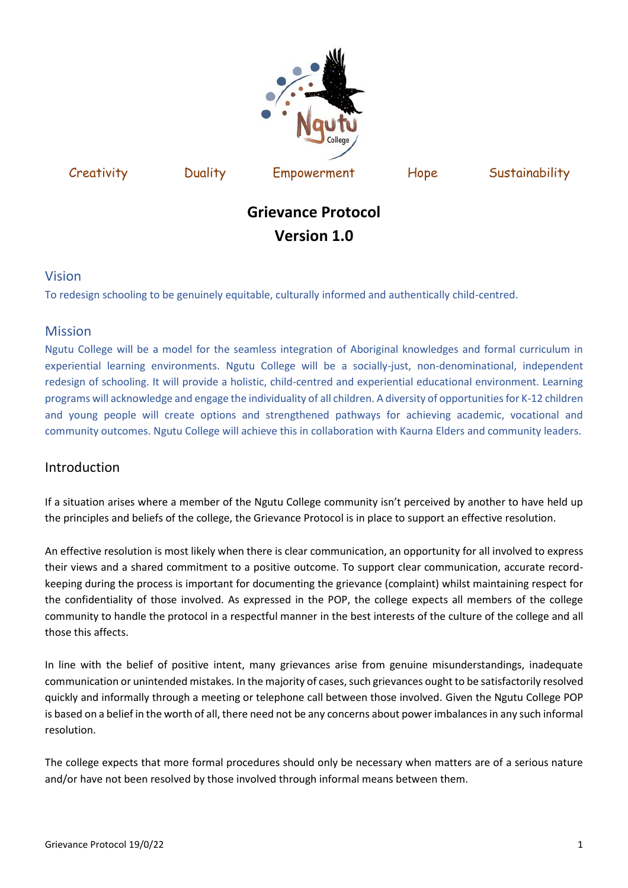

Creativity Duality Empowerment Hope Sustainability

# **Grievance Protocol Version 1.0**

# Vision

To redesign schooling to be genuinely equitable, culturally informed and authentically child-centred.

# Mission

Ngutu College will be a model for the seamless integration of Aboriginal knowledges and formal curriculum in experiential learning environments. Ngutu College will be a socially-just, non-denominational, independent redesign of schooling. It will provide a holistic, child-centred and experiential educational environment. Learning programs will acknowledge and engage the individuality of all children. A diversity of opportunities for K-12 children and young people will create options and strengthened pathways for achieving academic, vocational and community outcomes. Ngutu College will achieve this in collaboration with Kaurna Elders and community leaders.

# Introduction

If a situation arises where a member of the Ngutu College community isn't perceived by another to have held up the principles and beliefs of the college, the Grievance Protocol is in place to support an effective resolution.

An effective resolution is most likely when there is clear communication, an opportunity for all involved to express their views and a shared commitment to a positive outcome. To support clear communication, accurate recordkeeping during the process is important for documenting the grievance (complaint) whilst maintaining respect for the confidentiality of those involved. As expressed in the POP, the college expects all members of the college community to handle the protocol in a respectful manner in the best interests of the culture of the college and all those this affects.

In line with the belief of positive intent, many grievances arise from genuine misunderstandings, inadequate communication or unintended mistakes. In the majority of cases, such grievances ought to be satisfactorily resolved quickly and informally through a meeting or telephone call between those involved. Given the Ngutu College POP is based on a belief in the worth of all, there need not be any concerns about power imbalances in any such informal resolution.

The college expects that more formal procedures should only be necessary when matters are of a serious nature and/or have not been resolved by those involved through informal means between them.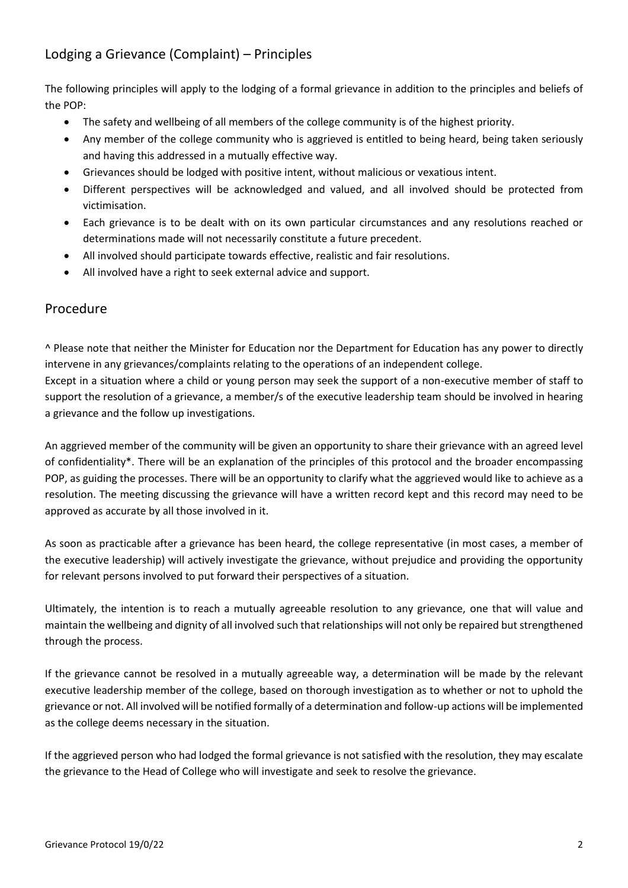# Lodging a Grievance (Complaint) – Principles

The following principles will apply to the lodging of a formal grievance in addition to the principles and beliefs of the POP:

- The safety and wellbeing of all members of the college community is of the highest priority.
- Any member of the college community who is aggrieved is entitled to being heard, being taken seriously and having this addressed in a mutually effective way.
- Grievances should be lodged with positive intent, without malicious or vexatious intent.
- Different perspectives will be acknowledged and valued, and all involved should be protected from victimisation.
- Each grievance is to be dealt with on its own particular circumstances and any resolutions reached or determinations made will not necessarily constitute a future precedent.
- All involved should participate towards effective, realistic and fair resolutions.
- All involved have a right to seek external advice and support.

# Procedure

^ Please note that neither the Minister for Education nor the Department for Education has any power to directly intervene in any grievances/complaints relating to the operations of an independent college.

Except in a situation where a child or young person may seek the support of a non-executive member of staff to support the resolution of a grievance, a member/s of the executive leadership team should be involved in hearing a grievance and the follow up investigations.

An aggrieved member of the community will be given an opportunity to share their grievance with an agreed level of confidentiality\*. There will be an explanation of the principles of this protocol and the broader encompassing POP, as guiding the processes. There will be an opportunity to clarify what the aggrieved would like to achieve as a resolution. The meeting discussing the grievance will have a written record kept and this record may need to be approved as accurate by all those involved in it.

As soon as practicable after a grievance has been heard, the college representative (in most cases, a member of the executive leadership) will actively investigate the grievance, without prejudice and providing the opportunity for relevant persons involved to put forward their perspectives of a situation.

Ultimately, the intention is to reach a mutually agreeable resolution to any grievance, one that will value and maintain the wellbeing and dignity of all involved such that relationships will not only be repaired but strengthened through the process.

If the grievance cannot be resolved in a mutually agreeable way, a determination will be made by the relevant executive leadership member of the college, based on thorough investigation as to whether or not to uphold the grievance or not. All involved will be notified formally of a determination and follow-up actions will be implemented as the college deems necessary in the situation.

If the aggrieved person who had lodged the formal grievance is not satisfied with the resolution, they may escalate the grievance to the Head of College who will investigate and seek to resolve the grievance.